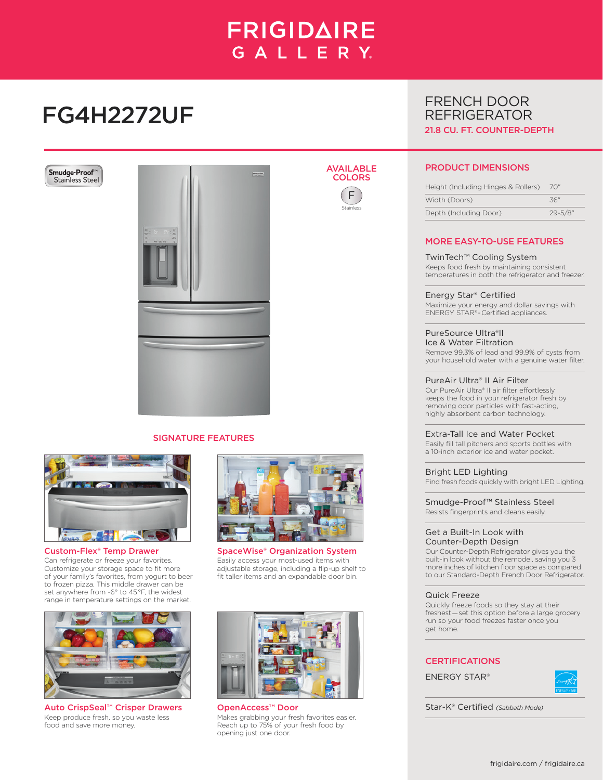# **FRIGIDAIRE** GALLERY.

AVAILABLE **COLORS** F Stainless

# FG4H2272UF





## SIGNATURE FEATURES



Custom-Flex® Temp Drawer Can refrigerate or freeze your favorites. Customize your storage space to fit more of your family's favorites, from yogurt to beer to frozen pizza. This middle drawer can be set anywhere from -6° to 45 °F, the widest range in temperature settings on the market.



Auto CrispSeal™ Crisper Drawers Keep produce fresh, so you waste less food and save more money.



SpaceWise® Organization System Easily access your most-used items with adjustable storage, including a flip-up shelf to fit taller items and an expandable door bin.



OpenAccess™ Door Star-K® Certified *(Sabbath Mode)* Makes grabbing your fresh favorites easier. Reach up to 75% of your fresh food by opening just one door.

# FRENCH DOOR REFRIGERATOR 21.8 CU. FT. COUNTER-DEPTH

# PRODUCT DIMENSIONS

| Height (Including Hinges & Rollers) | 70"          |
|-------------------------------------|--------------|
| Width (Doors)                       | 36"          |
| Depth (Including Door)              | $29 - 5/8$ " |

# MORE EASY-TO-USE FEATURES

### TwinTech™ Cooling System

Keeps food fresh by maintaining consistent temperatures in both the refrigerator and freezer.

Energy Star® Certified Maximize your energy and dollar savings with ENERGY STAR® - Certified appliances.

## PureSource Ultra®II Ice & Water Filtration

Remove 99.3% of lead and 99.9% of cysts from your household water with a genuine water filter.

## PureAir Ultra® II Air Filter

Our PureAir Ultra® II air filter effortlessly keeps the food in your refrigerator fresh by removing odor particles with fast-acting, highly absorbent carbon technology.

#### Extra-Tall Ice and Water Pocket

Easily fill tall pitchers and sports bottles with a 10-inch exterior ice and water pocket.

Bright LED Lighting

Find fresh foods quickly with bright LED Lighting.

Smudge-Proof™ Stainless Steel Resists fingerprints and cleans easily.

#### Get a Built-In Look with Counter-Depth Design

Our Counter-Depth Refrigerator gives you the built-in look without the remodel, saving you 3 more inches of kitchen floor space as compared to our Standard-Depth French Door Refrigerator.

#### Quick Freeze

Quickly freeze foods so they stay at their freshest — set this option before a large grocery run so your food freezes faster once you get home.

# **CERTIFICATIONS**

ENERGY STAR®

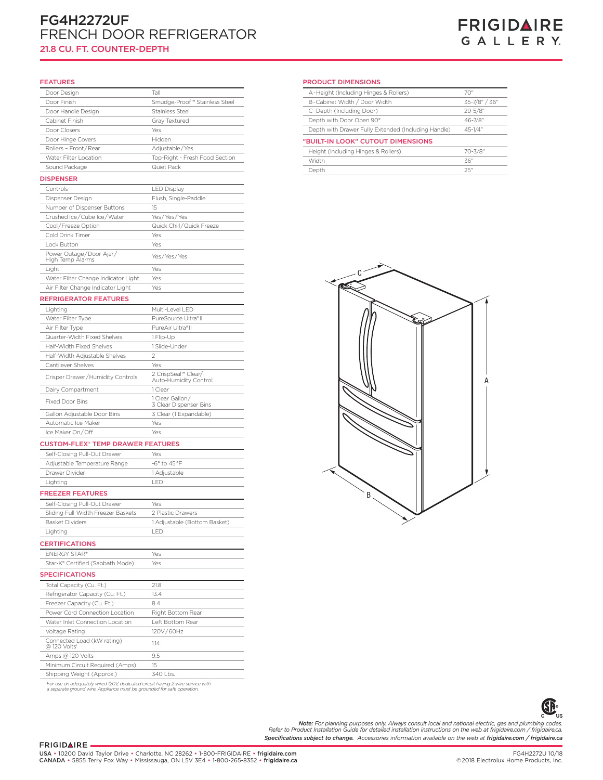# FG4H2272UF FRENCH DOOR REFRIGERATOR 21.8 CU. FT. COUNTER-DEPTH

#### FEATURES

| Door Design                                 | Tall                                         |
|---------------------------------------------|----------------------------------------------|
| Door Finish                                 | Smudge-Proof™ Stainless Steel                |
| Door Handle Design                          | Stainless Steel                              |
| Cabinet Finish                              | Gray Textured                                |
| Door Closers                                | Yes                                          |
| Door Hinge Covers                           | Hidden                                       |
| Rollers - Front/Rear                        | Adjustable/Yes                               |
| Water Filter Location                       | Top-Right - Fresh Food Section               |
| Sound Package                               | Quiet Pack                                   |
| <b>DISPENSER</b>                            |                                              |
| Controls                                    | <b>LED Display</b>                           |
| Dispenser Design                            | Flush, Single-Paddle                         |
| Number of Dispenser Buttons                 | 15                                           |
| Crushed Ice/Cube Ice/Water                  | Yes/Yes/Yes                                  |
| Cool/Freeze Option                          | Quick Chill / Quick Freeze                   |
| Cold Drink Timer                            | Yes                                          |
| Lock Button                                 | Yes                                          |
| Power Outage/Door Ajar/<br>High Temp Alarms | Yes/Yes/Yes                                  |
| Light                                       | Yes                                          |
| Water Filter Change Indicator Light         | Yes                                          |
| Air Filter Change Indicator Light           | Yes                                          |
| <b>REFRIGERATOR FEATURES</b>                |                                              |
| Lighting                                    | Multi-Level LED                              |
| Water Filter Type                           | PureSource Ultra®II                          |
| Air Filter Type                             | PureAir Ultra®II                             |
| Quarter-Width Fixed Shelves                 | 1 Flip-Up                                    |
| Half-Width Fixed Shelves                    | 1 Slide-Under                                |
| Half-Width Adjustable Shelves               | 2                                            |
| Cantilever Shelves                          | Yes                                          |
| Crisper Drawer/Humidity Controls            | 2 CrispSeal™ Clear/<br>Auto-Humidity Control |
| Dairy Compartment                           | 1 Clear                                      |
| <b>Fixed Door Bins</b>                      | 1 Clear Gallon/<br>3 Clear Dispenser Bins    |
| Gallon Adjustable Door Bins                 | 3 Clear (1 Expandable)                       |
| Automatic Ice Maker                         | Yes                                          |
| Ice Maker On/Off                            | Yes                                          |
| CHETOM-ELEV® TEMP DRAWED EEATHDEE           |                                              |

#### STOM-FLEX® TEMP DRAWER FEATURES

| Self-Closing Pull-Out Drawer | Yes                        |  |
|------------------------------|----------------------------|--|
| Adjustable Temperature Range | $-6^\circ$ to $45^\circ F$ |  |
| Drawer Divider               | 1 Adiustable               |  |
| Lighting                     | $-1$                       |  |
|                              |                            |  |

#### FREEZER FEATURES

| Self-Closing Pull-Out Drawer                           | Yes                          |
|--------------------------------------------------------|------------------------------|
| Sliding Full-Width Freezer Baskets                     | 2 Plastic Drawers            |
| <b>Basket Dividers</b>                                 | 1 Adjustable (Bottom Basket) |
| Lighting                                               | <b>IFD</b>                   |
| <b>CERTIFICATIONS</b>                                  |                              |
| <b>FNERGY STAR®</b>                                    | Yes                          |
| Star-K® Certified (Sabbath Mode)                       | Yes                          |
| <b>SPECIFICATIONS</b>                                  |                              |
| Total Capacity (Cu. Ft.)                               | 21.8                         |
| Refrigerator Capacity (Cu. Ft.)                        | 13.4                         |
| Freezer Capacity (Cu. Ft.)                             | 8.4                          |
| Power Cord Connection Location                         | Right Bottom Rear            |
| Water Inlet Connection Location                        | Left Bottom Rear             |
| Voltage Rating                                         | 120V/60Hz                    |
| Connected Load (kW rating)<br>@ 120 Volts <sup>1</sup> | 114                          |
| Amps @ 120 Volts                                       | 9.5                          |
| Minimum Circuit Required (Amps)                        | 15                           |
| Shipping Weight (Approx.)                              | $340$ l bs.                  |
|                                                        |                              |

*1 For use on adequately wired 120V, dedicated circuit having 2-wire service with a separate ground wire. Appliance must be grounded for safe operation.*

PRODUCT DIMENSIONS

| A-Height (Including Hinges & Rollers)               | 70"                                          |
|-----------------------------------------------------|----------------------------------------------|
| B-Cabinet Width / Door Width                        | 35-7/8" / 36"                                |
| C-Depth (Including Door)                            | $29 - 5/8$ "                                 |
| Depth with Door Open 90°                            | 46-7/8"                                      |
| Depth with Drawer Fully Extended (Including Handle) | $45 - 1/4$ "                                 |
| "BUILT-IN LOOK" CUTOUT DIMENSIONS                   |                                              |
|                                                     | 70-3/8"                                      |
|                                                     | 36"                                          |
| Depth                                               | 25"                                          |
|                                                     | Height (Including Hinges & Rollers)<br>Width |



**GP** .<br>US C

*Specifications subject to change. Accessories information available on the web at frigidaire.com / frigidaire.ca* **Note:** For planning purposes only. Always consult local and national electric, gas and plumbing codes.<br>Refer to Product Installation Guide for detailed installation instructions on the web at frigidaire.com / frigidaire.c

#### FRIGIDAIRE.